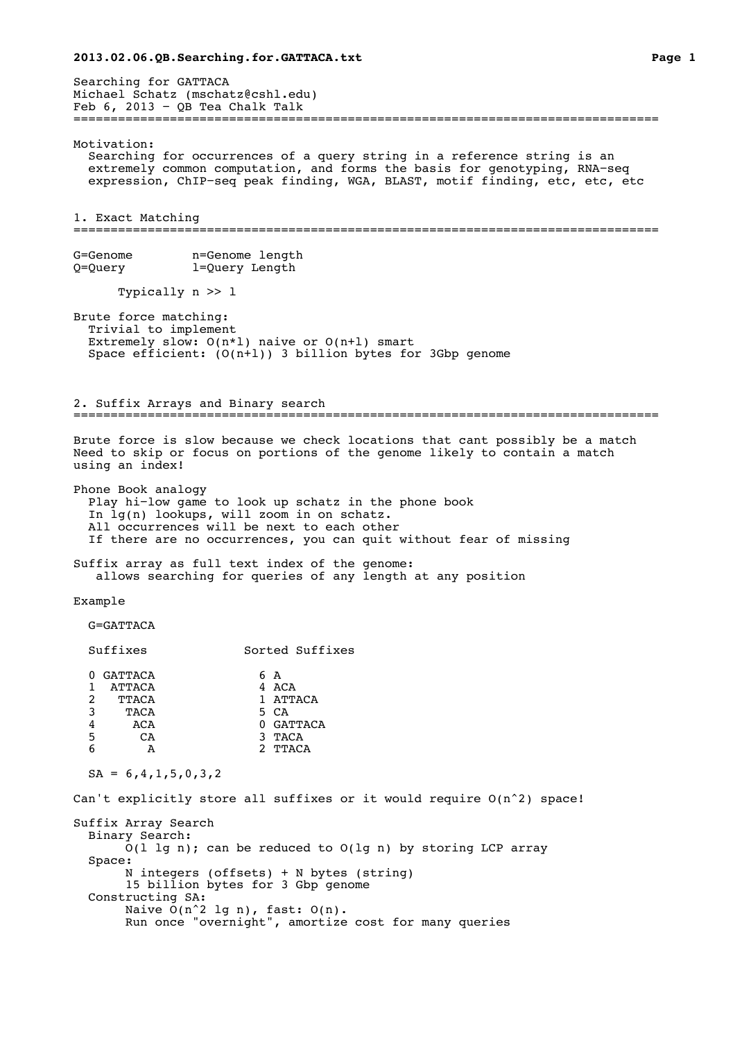Searching for GATTACA Michael Schatz (mschatz@cshl.edu)<br>Feb 6, 2013 - QB Tea Chalk Talk Feb 6, 2013 − QB Tea Chalk Talk =============================================================================== Motivation: Searching for occurrences of a query string in a reference string is an extremely common computation, and forms the basis for genotyping, RNA−seq expression, ChIP−seq peak finding, WGA, BLAST, motif finding, etc, etc, etc 1. Exact Matching =============================================================================== G=Genome n=Genome length Q=Query l=Query Length Typically n >> l Brute force matching: Trivial to implement Extremely slow:  $O(n*1)$  naive or  $O(n+1)$  smart Space efficient:  $(0(n+1))$  3 billion bytes for 3Gbp genome 2. Suffix Arrays and Binary search =============================================================================== Brute force is slow because we check locations that cant possibly be a match Need to skip or focus on portions of the genome likely to contain a match using an index! Phone Book analogy Play hi−low game to look up schatz in the phone book In lg(n) lookups, will zoom in on schatz. All occurrences will be next to each other If there are no occurrences, you can quit without fear of missing Suffix array as full text index of the genome: allows searching for queries of any length at any position Example G=GATTACA Suffixes Sorted Suffixes 0 GATTACA 6 A<br>1 ATTACA 4 ACA 1 ATTACA<br>2 TTACA 2 TTACA 1 ATTACA<br>3 TACA 5 CA  $\begin{array}{ccc}\n3 & \text{TACA} \\
4 & \text{ACA}\n\end{array}$ 0 GATTACA 5 CA 3 TACA<br>6 A 2 TTAC A 2 TTACA  $SA = 6, 4, 1, 5, 0, 3, 2$ Can't explicitly store all suffixes or it would require  $O(n^2)$  space! Suffix Array Search Binary Search:  $O(1$  lg n); can be reduced to  $O(1g n)$  by storing LCP array Space: N integers (offsets) + N bytes (string) 15 billion bytes for 3 Gbp genome Constructing SA: Naive  $O(n^2$  lg n), fast:  $O(n)$ . Run once "overnight", amortize cost for many queries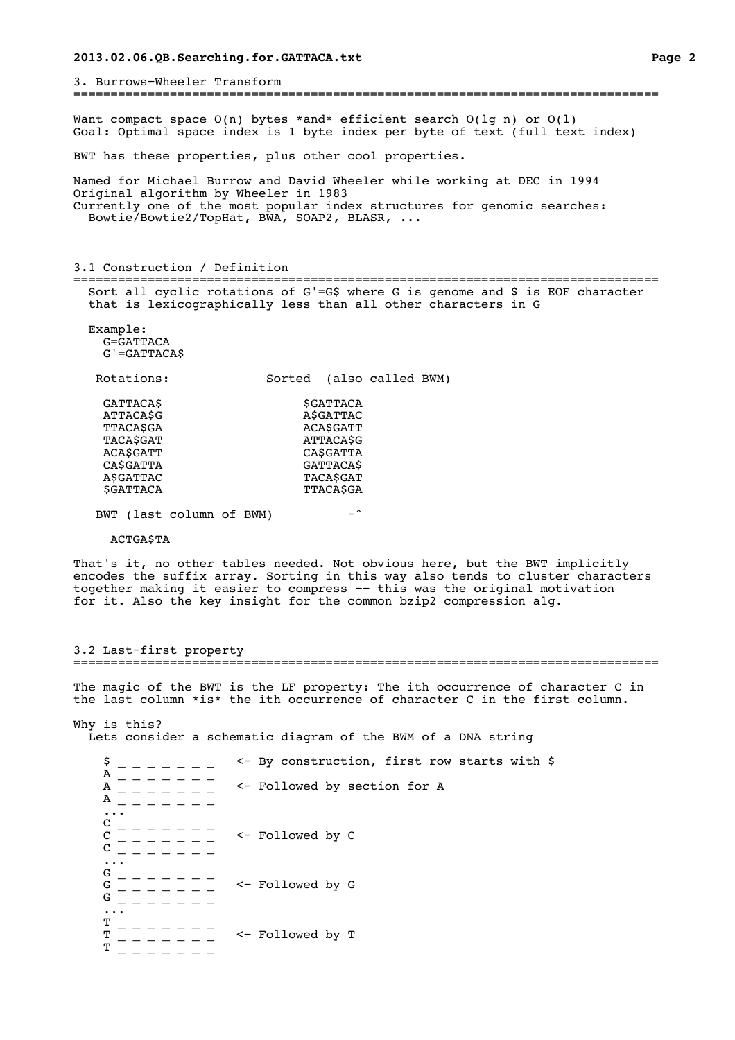3. Burrows−Wheeler Transform =============================================================================== Want compact space  $O(n)$  bytes \*and\* efficient search  $O(\lg n)$  or  $O(1)$ Goal: Optimal space index is 1 byte index per byte of text (full text index) BWT has these properties, plus other cool properties. Named for Michael Burrow and David Wheeler while working at DEC in 1994 Original algorithm by Wheeler in 1983 Currently one of the most popular index structures for genomic searches: Bowtie/Bowtie2/TopHat, BWA, SOAP2, BLASR, ... 3.1 Construction / Definition =============================================================================== Sort all cyclic rotations of G'=G\$ where G is genome and \$ is EOF character that is lexicographically less than all other characters in G Example: G=GATTACA G'=GATTACA\$ Rotations: Sorted (also called BWM) GATTACA\$ \$GATTACA ATTACA\$G A\$GATTAC TTACA\$GA aca\$GATT TACA\$GAT ATTACA\$G

CA\$GATTA GATTACA\$<br>A\$GATTAC TACA\$GAT A\$GATTAC \$GATTACA TTACA\$GA BWT (last column of BWM) -^

ACA\$GATT<br>CA\$GATTA CASGATTA CASGATTA

ACTGA\$TA

That's it, no other tables needed. Not obvious here, but the BWT implicitly encodes the suffix array. Sorting in this way also tends to cluster characters together making it easier to compress −− this was the original motivation for it. Also the key insight for the common bzip2 compression alg.

3.2 Last−first property ===============================================================================

The magic of the BWT is the LF property: The ith occurrence of character C in the last column \*is\* the ith occurrence of character C in the first column. Why is this? Lets consider a schematic diagram of the BWM of a DNA string  $$$  \_ \_ \_ \_ \_ \_ \_ <- By construction, first row starts with \$  $A - - - - - - A$  \_ \_ \_ \_ \_ \_ \_ \_ <- Followed by section for A  $A$  \_ \_ \_ \_ \_ \_ \_ ... C \_ \_ \_ \_ \_ \_ \_ C \_ \_ \_ \_ \_ \_ \_ <− Followed by C C \_ \_ \_ \_ \_ \_ \_ ... G \_ \_ \_ \_ \_ \_ \_ G \_ \_ \_ \_ \_ \_ \_ <− Followed by G G \_ \_ \_ \_ \_ \_ \_ ...  $\frac{T}{m}$  — — — — — — — T \_ \_ \_ \_ \_ \_ \_ <− Followed by T  $\frac{\text{T}}{\text{T}}$   $-$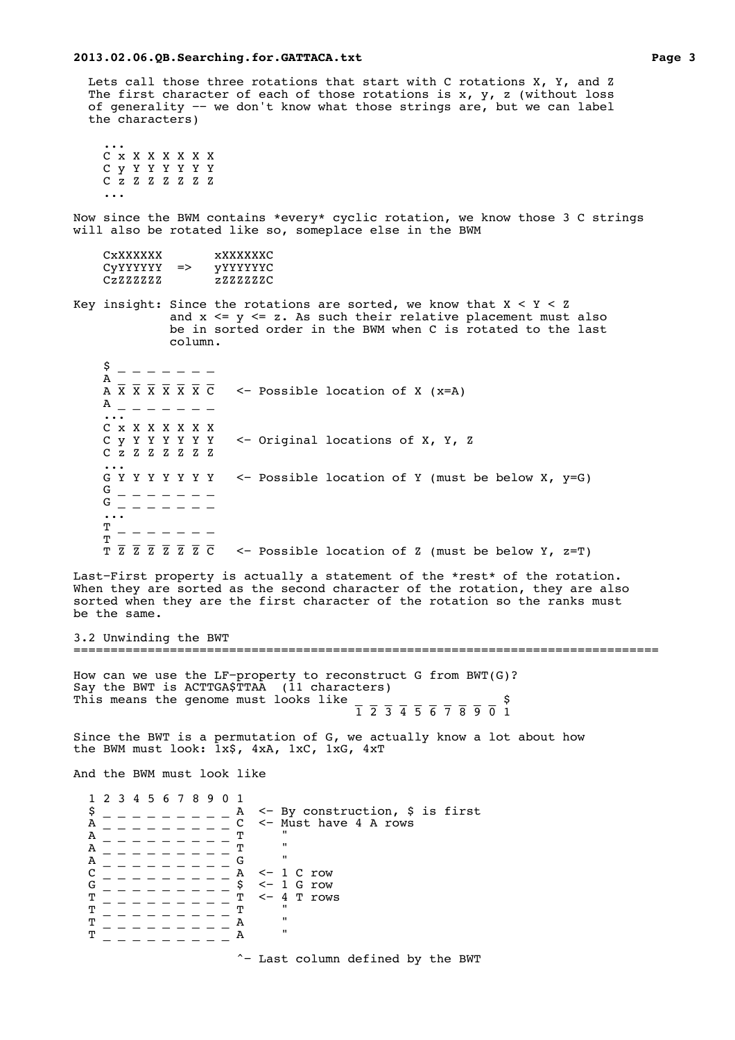Lets call those three rotations that start with C rotations X, Y, and Z The first character of each of those rotations is x, y, z (without loss of generality −− we don't know what those strings are, but we can label the characters)

 ... C x X X X X X X C y Y Y Y Y Y Y C z Z Z Z Z Z Z ...

Now since the BWM contains \*every\* cyclic rotation, we know those 3 C strings will also be rotated like so, someplace else in the BWM

| CxXXXXXX |               | xxxxxxxc        |
|----------|---------------|-----------------|
| CVYYYYYY | $\Rightarrow$ | <i>vYYYYYYC</i> |
| CzZZZZZZ |               | 2.2.2.2.2.2.C   |

Key insight: Since the rotations are sorted, we know that  $X < Y < Z$ and  $x \leq y \leq z$ . As such their relative placement must also be in sorted order in the BWM when C is rotated to the last column.

| \$<br>Α<br>A                                                 | $A \times X \times X \times X \times C$ <- Possible location of X (x=A) |  |
|--------------------------------------------------------------|-------------------------------------------------------------------------|--|
| $\cdots$<br>C x X X X X X X<br>Суүүүүүү<br>$C$ z z z z z z z | <- Original locations of X, Y, Z                                        |  |
| $\cdots$<br>G Y<br>G<br>G                                    | Y Y Y Y <- Possible location of Y (must be below X, y=G)                |  |
| т<br>т<br>Z Z Z Z C<br>z                                     | $\leq$ Possible location of Z (must be below Y, z=T)                    |  |

Last−First property is actually a statement of the \*rest\* of the rotation. When they are sorted as the second character of the rotation, they are also sorted when they are the first character of the rotation so the ranks must be the same.

3.2 Unwinding the BWT ===============================================================================

How can we use the LF-property to reconstruct G from BWT(G)?<br>Say the BWT is ACTTGA\$TTAA (11 characters) Say the BWT is ACTTGA\$TTAA (11 characters) This means the genome must looks like \_ \_ \_ \_ \_ \_ \_ \_ \_ \_ \$ 1 2 3 4 5 6 7 8 9 0 1

Since the BWT is a permutation of G, we actually know a lot about how the BWM must look: 1x\$, 4xA, 1xC, 1xG, 4xT

And the BWM must look like

 1 2 3 4 5 6 7 8 9 0 1  $\beta$  \_ \_ \_ \_ \_ \_ \_ \_ \_ A <- By construction, \$ is first  $A$  \_ \_ \_ \_ \_ \_ \_ \_ \_ C <- Must have 4 A rows  $A$  - - - - - - - - - C <- M<br>  $A$  - - - - - - - - - m<br>  $A$  $A$  \_ \_ \_ \_ \_ \_ \_ \_ \_ T  $''$ A \_ \_ \_ \_ \_ \_ \_ \_ \_ G " C \_ \_ \_ \_ \_ \_ \_ \_ \_ A <− 1 C row G \_ \_ \_ \_ \_ \_ \_ \_ \_ \_ \$ <− 1 G row T \_ \_ \_ \_ \_ \_ \_ \_ \_ T <− 4 T rows  $\mathbf{T}$  , and  $\mathbf{T}$  , and  $\mathbf{T}$  , and  $\mathbf{T}$  , and  $\mathbf{T}$  , and  $\mathbf{T}$  , and  $\mathbf{T}$  , and  $\mathbf{T}$  $\texttt{T}$  \_ \_ \_ \_ \_ \_ \_ \_ \_ A " T \_ \_ \_ \_ \_ \_ \_ \_ \_ A " ^− Last column defined by the BWT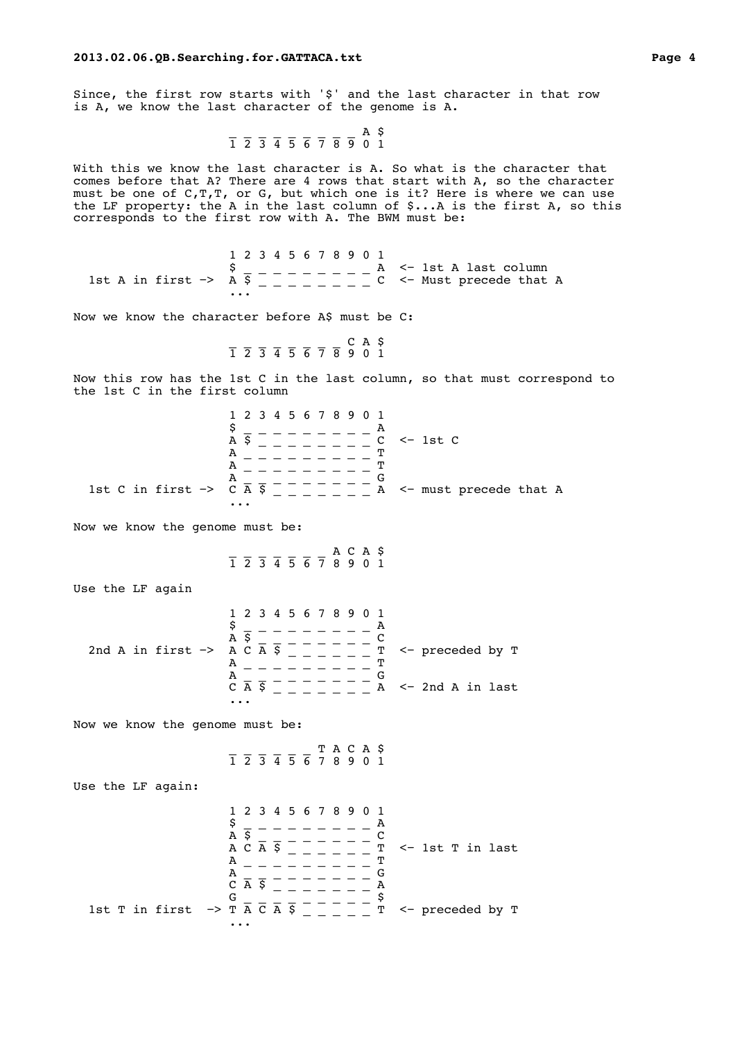Since, the first row starts with '\$' and the last character in that row is A, we know the last character of the genome is A.

$$
\overline{1} \ \overline{2} \ \overline{3} \ \overline{4} \ \overline{5} \ \overline{6} \ \overline{7} \ \overline{8} \ \overline{9} \ \overline{0} \ \overline{1}
$$

With this we know the last character is A. So what is the character that comes before that A? There are 4 rows that start with A, so the character must be one of C,T,T, or G, but which one is it? Here is where we can use the LF property: the A in the last column of \$...A is the first A, so this corresponds to the first row with A. The BWM must be:

 1 2 3 4 5 6 7 8 9 0 1  $\texttt{\$}$   $\texttt{\_}$   $\texttt{\_}$   $\texttt{\_}$   $\texttt{\_}$   $\texttt{\_}$   $\texttt{\_}$   $\texttt{\_}$   $\texttt{\_}$   $\texttt{\_}$   $\texttt{\_}$   $\texttt{\_}$   $\texttt{\_}$   $\texttt{\_}$   $\texttt{\_}$   $\texttt{\_}$   $\texttt{\_}$   $\texttt{\_}$   $\texttt{\_}$   $\texttt{\_}$   $\texttt{\_}$   $\texttt{\_}$   $\texttt{\_}$   $\texttt{\_}$   $\texttt{\$ 1st A in first −> A \$ \_ \_ \_ \_ \_ \_ \_ C <- Must precede that A ...

Now we know the character before A\$ must be C:

$$
\overline{1} \quad \overline{2} \quad \overline{3} \quad \overline{4} \quad \overline{5} \quad \overline{6} \quad \overline{7} \quad \overline{8} \quad \overline{9} \quad 0 \quad 1
$$

Now this row has the 1st C in the last column, so that must correspond to the 1st C in the first column

|                                     | 1 2 3 4 5 6 7 8 9 0 1<br>$C \le -1st C$<br>A<br>m<br>А |
|-------------------------------------|--------------------------------------------------------|
| 1st C in first $\rightarrow$ C A \$ | А<br>A <- must precede that A                          |

Now we know the genome must be:

\_ \_ \_ \_ \_ \_ \_ A C A \$ 1 2 3 4 5 6 7 8 9 0 1

Use the LF again

|                                       | 1 2 3 4 5 6 7 8 9 0 1               |
|---------------------------------------|-------------------------------------|
|                                       | S                                   |
|                                       | AS                                  |
| 2nd A in first $\rightarrow$ A C A \$ | $\sim$ preceded by T<br>ጥ           |
|                                       | m<br>Α                              |
|                                       | А                                   |
|                                       | $A \le -2nd A$ in last<br>Ś.<br>C A |
|                                       | $\cdots$                            |

Now we know the genome must be:

 \_ \_ \_ \_ \_ \_ T A C A \$ 1 2 3 4 5 6 7 8 9 0 1

Use the LF again:

 1 2 3 4 5 6 7 8 9 0 1  $\mathsf{S}$  \_ \_ \_ \_ \_ \_ \_ \_ A  $A \times 2 = 2 = 2 = 2 = 2$ A C A \$ \_ \_ \_ \_ \_ T <− 1st T in last  $A$  \_ \_ \_ \_ \_ \_ \_ <sup>T</sup> A \_ \_ \_ \_ \_ \_ \_ \_ G  $C \overline{A} \overline{S}$   $\overline{S}$   $\overline{S}$   $\overline{S}$   $\overline{S}$   $\overline{S}$   $\overline{S}$   $\overline{S}$   $\overline{S}$   $\overline{S}$   $\overline{S}$   $\overline{S}$   $\overline{S}$   $\overline{S}$   $\overline{S}$   $\overline{S}$   $\overline{S}$   $\overline{S}$   $\overline{S}$   $\overline{S}$   $\overline{S}$   $\overline{S}$   $\overline{S}$   $\overline{S}$ G \_ \_ \_ \_ \_ \_ \_ \_ \_ \$ 1st T in first  $\rightarrow$  T  $\overline{A}$  C  $\overline{A}$   $\overline{S}$   $\overline{C}$   $\overline{C}$   $\overline{C}$   $\overline{C}$   $\overline{C}$   $\overline{C}$   $\overline{C}$   $\overline{C}$   $\overline{C}$   $\overline{C}$   $\overline{C}$   $\overline{C}$   $\overline{C}$   $\overline{C}$   $\overline{C}$   $\overline{C}$   $\overline{C}$   $\overline{C}$   $\overline{C}$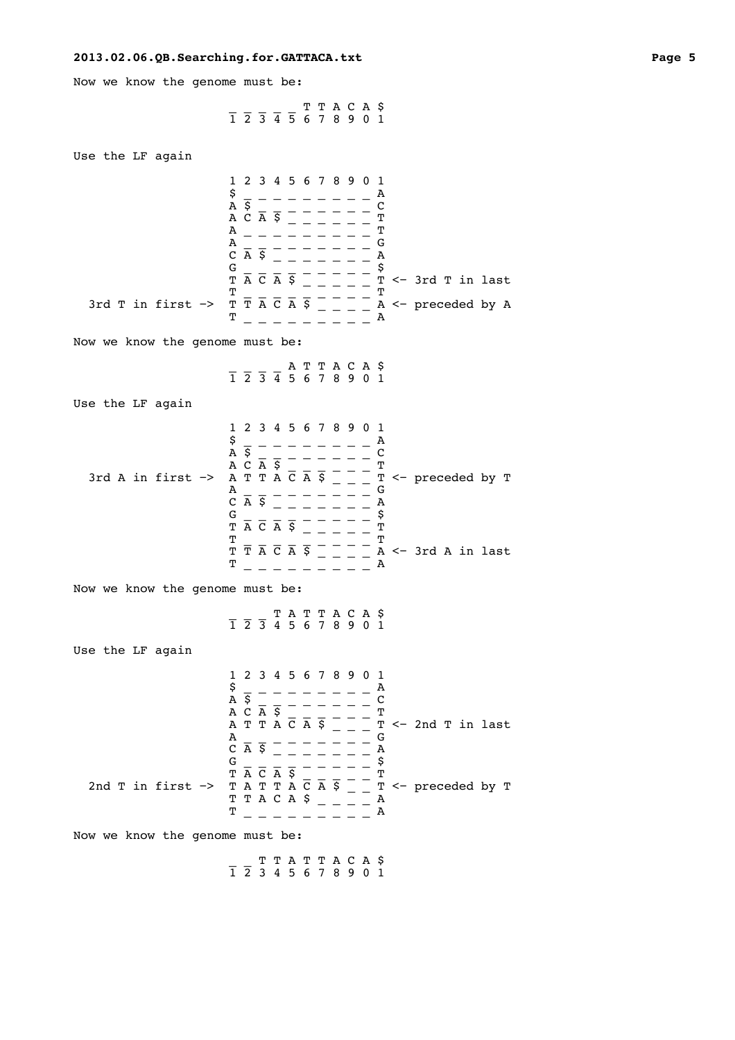Now we know the genome must be:

 \_ \_ \_ \_ \_ T T A C A \$ 1 2 3 4 5 6 7 8 9 0 1

| Use the LF again                                                |                                                                                                                                                                                                                                                                                                                                                                                                                                                                                                                                                                                                                        |
|-----------------------------------------------------------------|------------------------------------------------------------------------------------------------------------------------------------------------------------------------------------------------------------------------------------------------------------------------------------------------------------------------------------------------------------------------------------------------------------------------------------------------------------------------------------------------------------------------------------------------------------------------------------------------------------------------|
| 3rd T in first $\rightarrow$<br>Now we know the genome must be: | 1 2 3 4 5 6 7 8 9 0 1<br>\$<br>А<br>$\overline{A}$ $\overline{S}$<br>C<br>$AC\overline{A}$ $\overline{S}$ $\overline{\phantom{S}}$<br>T<br>T<br>А<br>G<br>А<br>$C$ $\overline{A}$ $\overline{S}$<br>Α<br>\$<br>G<br>$T \overline{A} \overline{C} \overline{A} \overline{S}$<br>$T \leftarrow 3rd$ T in last<br>т<br>Т<br>$\overline{T}$ $\overline{T}$ $\overline{A}$ $\overline{C}$ $\overline{A}$ $\overline{S}$<br>$A \leftarrow$ preceded by A<br>т<br>А                                                                                                                                                           |
|                                                                 | $\frac{1}{1}$ $\frac{1}{2}$ $\frac{1}{3}$ $\frac{1}{4}$ $\frac{1}{5}$ 6 7 8 9 0 1                                                                                                                                                                                                                                                                                                                                                                                                                                                                                                                                      |
|                                                                 |                                                                                                                                                                                                                                                                                                                                                                                                                                                                                                                                                                                                                        |
| Use the LF again                                                |                                                                                                                                                                                                                                                                                                                                                                                                                                                                                                                                                                                                                        |
| 3rd A in first $\rightarrow$<br>Now we know the genome must be: | 1 2 3 4 5 6 7 8 9 0 1<br>\$<br>А<br>$\overline{A}$ $\overline{S}$<br>$\mathbf C$<br>$\begin{array}{ccccc}\nA & \text{S} & \text{A} & \text{C} & \text{A} & \text{A} & \text{C} & \text{A} & \text{A} & \text{A} & \text{T} & \text{T} & \text{A} & \text{C} & \text{A} & \text{A} & \text{T}\n\end{array}$<br>Т<br>T <- preceded by T<br>G<br>А<br>$\overline{C}$ $\overline{A}$ $\overline{S}$<br>А<br>\$<br>G<br>$\overline{T} \overline{A} \overline{C} \overline{A} \overline{S}$<br>T<br>T<br>т<br>$T \overline{T} \overline{A} \overline{C} \overline{A} \overline{S}$<br>$A \leftarrow 3rd A$ in last<br>т<br>А |
|                                                                 | $\frac{1}{1}$ $\frac{1}{2}$ $\frac{1}{3}$ $\frac{1}{4}$ $\frac{1}{5}$ $\frac{1}{6}$ $\frac{1}{7}$ $\frac{1}{8}$ $\frac{1}{9}$ $\frac{1}{1}$                                                                                                                                                                                                                                                                                                                                                                                                                                                                            |
| Use the LF again                                                |                                                                                                                                                                                                                                                                                                                                                                                                                                                                                                                                                                                                                        |
| 2nd T in first $\rightarrow$<br>Now we know the genome must be: | 1 2 3 4 5 6 7 8 9 0 1<br>\$<br>A<br>А<br>$\overline{\xi}$<br>C<br>$A C \overline{A}$ \$<br>Т<br>A T T A C A S<br>$T \le -2nd$ T in last<br>G<br>A<br>$C$ $\overline{A}$ $\overline{S}$<br>A<br>\$<br>G<br>$T \overline{A} \overline{C} \overline{A} \overline{S}$<br>T<br>$T \leftarrow$ preceded by $T$<br>TATTACAS<br>T T A C A \$<br>Α<br>т<br>Α                                                                                                                                                                                                                                                                    |
|                                                                 | ттаттаса ș                                                                                                                                                                                                                                                                                                                                                                                                                                                                                                                                                                                                             |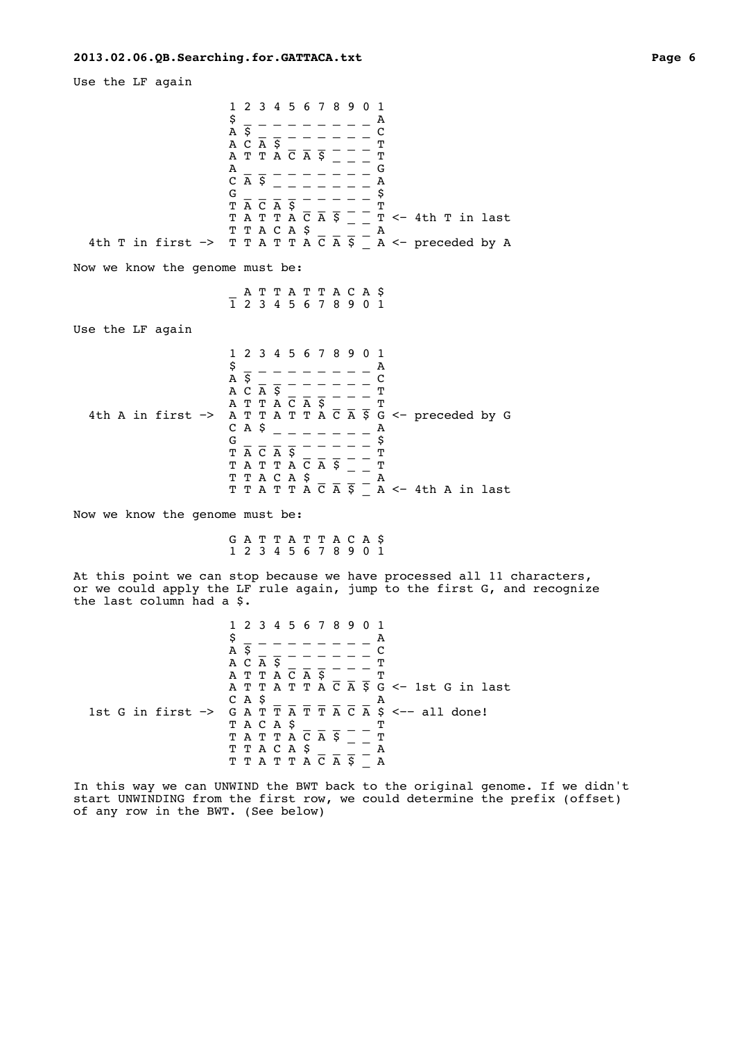Use the LF again

 1 2 3 4 5 6 7 8 9 0 1  $\frac{5}{A}$   $\frac{1}{5}$  - - - - - - -  $\frac{A}{C}$  A \$ \_ \_ \_ \_ \_ \_ \_ \_ C A C A  $\overline{S}$  \_ \_ \_ \_ \_ T A T T A C A \$ \_ \_ \_ T  $A$  \_ \_ \_ \_ \_ \_ \_ G  $C \overline{A} \overline{S}$   $\overline{S}$   $\overline{S}$   $\overline{S}$   $\overline{S}$   $\overline{S}$   $\overline{S}$   $\overline{S}$   $\overline{S}$   $\overline{S}$   $\overline{S}$   $\overline{S}$   $\overline{S}$   $\overline{S}$   $\overline{S}$   $\overline{S}$   $\overline{S}$   $\overline{S}$   $\overline{S}$   $\overline{S}$   $\overline{S}$   $\overline{S}$   $\overline{S}$   $\overline{S}$  $G = \begin{bmatrix} 1 & 1 \\ 1 & 1 \\ 1 & 1 \end{bmatrix} = \begin{bmatrix} 2 & 1 \\ 1 & 1 \\ 1 & 1 \end{bmatrix} = \begin{bmatrix} 5 & 5 \\ 5 & 1 \\ 1 & 1 \end{bmatrix}$  $\begin{array}{cc} \text{T} & \overline{\text{A}} & \overline{\text{C}} & \overline{\text{A}} & \overline{\text{S}} & \_\ \end{array} \begin{array}{c} \text{I} & \text{T} \end{array}$  T A T T A C A \$ \_ \_ T <− 4th T in last T T A C A \$ \_ \_ \_ \_ A 4th T in first −> T T A T T A C A \$ \_ A <− preceded by A Now we know the genome must be: \_ A T T A T T A C A \$ 1 2 3 4 5 6 7 8 9 0 1 Use the LF again 1 2 3 4 5 6 7 8 9 0 1  $\mathsf{S}$  \_ \_ \_ \_ \_ \_ \_ \_ A  $A \times 2 = 2 = 2 = 2 = 2$ A C A  $\overline{S}$  \_ \_ \_ \_ \_ T A T T A  $\overline{\text{C}}$   $\overline{\text{A}}$   $\overline{\text{S}}$   $\overline{\text{C}}$   $\overline{\text{C}}$   $\overline{\text{A}}$ 4th A in first  $\rightarrow$  A T T A T T A C A  $\frac{1}{5}$  G  $\leq$  preceded by G C A \$ \_ \_ \_ \_ \_ \_ \_ A G \_ \_ \_ \_ \_ \_ \_ \_ \_ \$  $\begin{array}{cc} \text{T} & \overline{\text{A}} & \overline{\text{C}} & \overline{\text{A}} & \overline{\text{S}} & \end{array} \hspace{.2cm} \begin{array}{c} \text{I} & \text{T} \end{array}$ T A T T A  $\overline{\text{C}}$  A  $\overline{\text{S}}$   $\overline{\text{C}}$   $\overline{\text{C}}$ T T A C A \$ \_ \_ \_ \_ A T T A T T A C A  $\bar{S}$   $\bar{S}$   $\bar{A}$   $\leq$  4th A in last Now we know the genome must be: G A T T A T T A C A \$ 1 2 3 4 5 6 7 8 9 0 1 At this point we can stop because we have processed all 11 characters, or we could apply the LF rule again, jump to the first G, and recognize the last column had a \$. 1 2 3 4 5 6 7 8 9 0 1  $\mathsf{S}$  \_ \_ \_ \_ \_ \_ \_ \_ A  $A \times 2 = 2 = 2 = 2 = 2$  $A$  C  $\overline{A}$   $\overline{S}$   $\overline{S}$   $\overline{S}$   $\overline{S}$   $\overline{S}$   $\overline{S}$   $\overline{S}$   $\overline{S}$   $\overline{S}$   $\overline{S}$   $\overline{S}$   $\overline{S}$   $\overline{S}$   $\overline{S}$   $\overline{S}$   $\overline{S}$   $\overline{S}$   $\overline{S}$   $\overline{S}$   $\overline{S}$   $\overline{S}$   $\overline{S}$   $\overline{S}$ A T T A C A \$ \_ \_ \_ T A T T A T T A  $\overline{C}$   $\overline{A}$   $\overline{S}$   $\overline{G}$   $\leq$  - 1st G in last CAS  $C A S = \overline{A} \overline{T} \overline{T} \overline{A} \overline{C} \overline{A} S$ <br>1st G in first -> G A T  $\overline{T} \overline{A} \overline{T} \overline{T} \overline{A} \overline{C} \overline{A} S$  $G A T T \overline{T} \overline{A} T T \overline{T} \overline{A} \overline{C} \overline{A} S \leftarrow-$  all done!<br>T A C A S T A C A \$ \_ \_ \_ \_ T T A T T A C A \$ \_ \_ T T T A C A \$ \_ \_ \_ \_ A T T A T T A  $\overline{C}$  A  $\overline{S}$   $\overline{\phantom{S}}$  A

In this way we can UNWIND the BWT back to the original genome. If we didn't start UNWINDING from the first row, we could determine the prefix (offset) of any row in the BWT. (See below)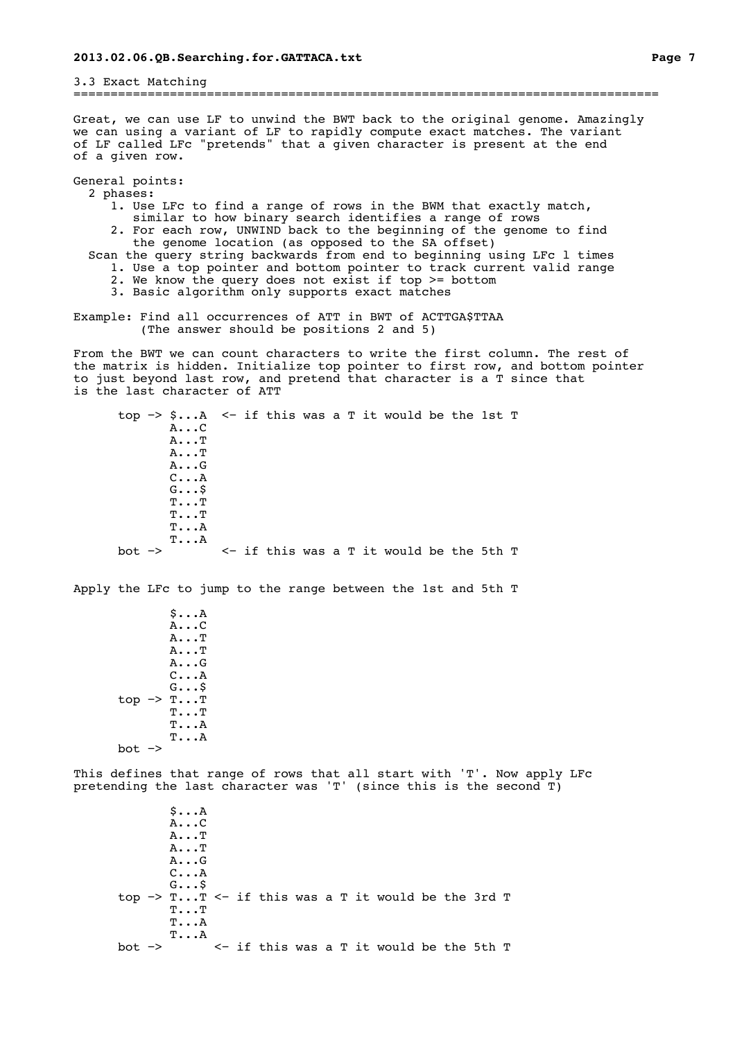3.3 Exact Matching ===============================================================================

Great, we can use LF to unwind the BWT back to the original genome. Amazingly we can using a variant of LF to rapidly compute exact matches. The variant of LF called LFc "pretends" that a given character is present at the end of a given row.

General points: 2 phases:

- 1. Use LFc to find a range of rows in the BWM that exactly match,
- similar to how binary search identifies a range of rows
- 2. For each row, UNWIND back to the beginning of the genome to find the genome location (as opposed to the SA offset)
- Scan the query string backwards from end to beginning using LFc l times
	- 1. Use a top pointer and bottom pointer to track current valid range
	- 2. We know the query does not exist if top >= bottom
	- 3. Basic algorithm only supports exact matches

Example: Find all occurrences of ATT in BWT of ACTTGA\$TTAA (The answer should be positions 2 and 5)

From the BWT we can count characters to write the first column. The rest of the matrix is hidden. Initialize top pointer to first row, and bottom pointer to just beyond last row, and pretend that character is a T since that is the last character of ATT

 top −> \$...A <− if this was a T it would be the 1st T A...C A...T A...T A...G C...A G...\$ T...T T...T T...A  $T...A$ bot −> <− if this was a T it would be the 5th T

Apply the LFc to jump to the range between the 1st and 5th T

 \$...A A...C A...T A...T A...G C...A G...\$ top −> T...T T...T T...A T...A bot −>

This defines that range of rows that all start with 'T'. Now apply LFc pretending the last character was 'T' (since this is the second T)

 \$...A A...C A...T A...T A...G C...A G...\$ top −> T...T <− if this was a T it would be the 3rd T T...T T...A  $T...A$ <br>bot  $\rightarrow$ bot −> <− if this was a T it would be the 5th T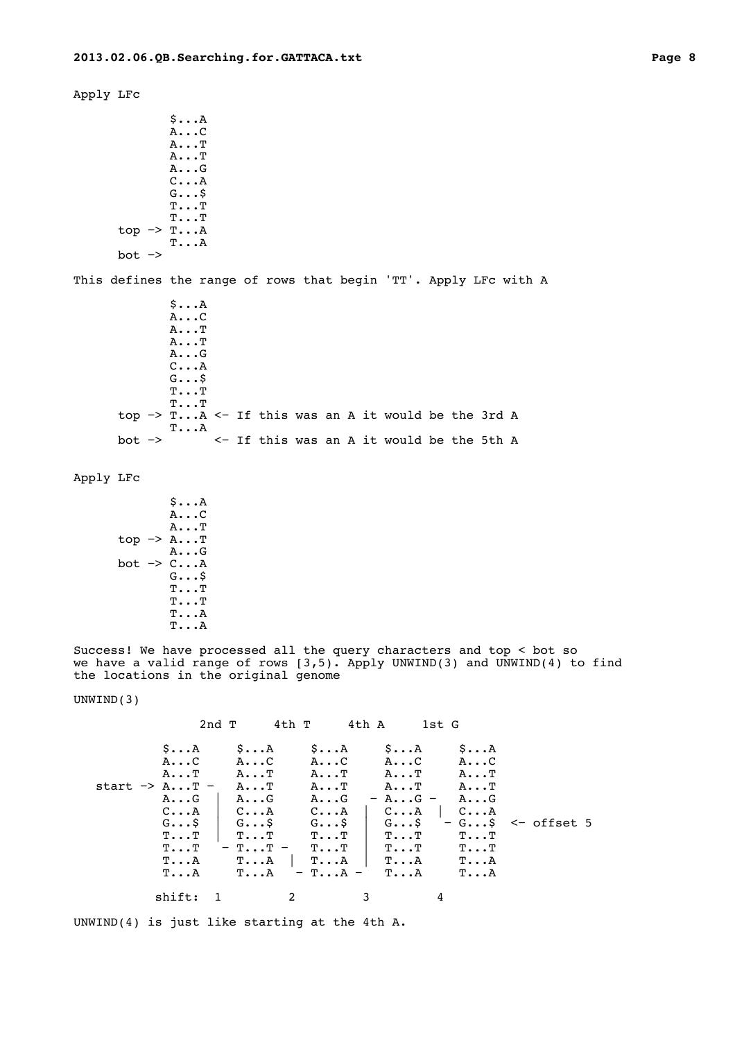Apply LFc \$...A A...C A...T A...T A...G C...A G...\$ T...T T...T top −> T...A T...A bot −> This defines the range of rows that begin 'TT'. Apply LFc with A \$...A A...C A...T

 A...T A...G C...A G...\$ T...T T...T top −> T...A <− If this was an A it would be the 3rd A  $T...A$ <br>bot  $\rightarrow$ bot −> <− If this was an A it would be the 5th A

Apply LFc

|        | \$A                            |
|--------|--------------------------------|
|        | AC                             |
|        | $A \cdot \cdot \cdot T$        |
|        | top $\rightarrow$ AT           |
|        | A.G                            |
| bot -> | $C \ldots A$                   |
|        | $G \ldots S$                   |
|        | $\texttt{T} \ldots \texttt{T}$ |
|        | ጥጥ                             |
|        | <b>T</b> A                     |
|        | <b>T</b> A                     |

Success! We have processed all the query characters and top < bot so we have a valid range of rows  $(3,5)$ . Apply UNWIND(3) and UNWIND(4) to find the locations in the original genome

UNWIND(3)

2nd T 4th T 4th A 1st G \$...A \$...A \$...A \$...A \$...A A...C A...C A...C A...C A...C A...T A...T A...T A...T A...T start −> A...T – A...T A...T A...T A...T A...T<br>A...G | A...G A...G – A...G – A...G A...G | A...G A...G − A...G − C...A | C...A  $C...A \quad C...A \quad C...A \quad C...A \quad C...A$  G...\$ | G...\$ G...\$ | G...\$ − G...\$ <− offset 5 T...T | T...T | T...T | T...T T...T  $T...T$  −  $T...T$  −  $T...T$   $T...T$   $T...T$   $T...A$ <br> $T...A$   $T...A$   $T...A$   $T...A$   $T...A$  T...A T...A | T...A | T...A T...A  $-$  T...A  $$ shift: 1 2 3 4

UNWIND(4) is just like starting at the 4th A.